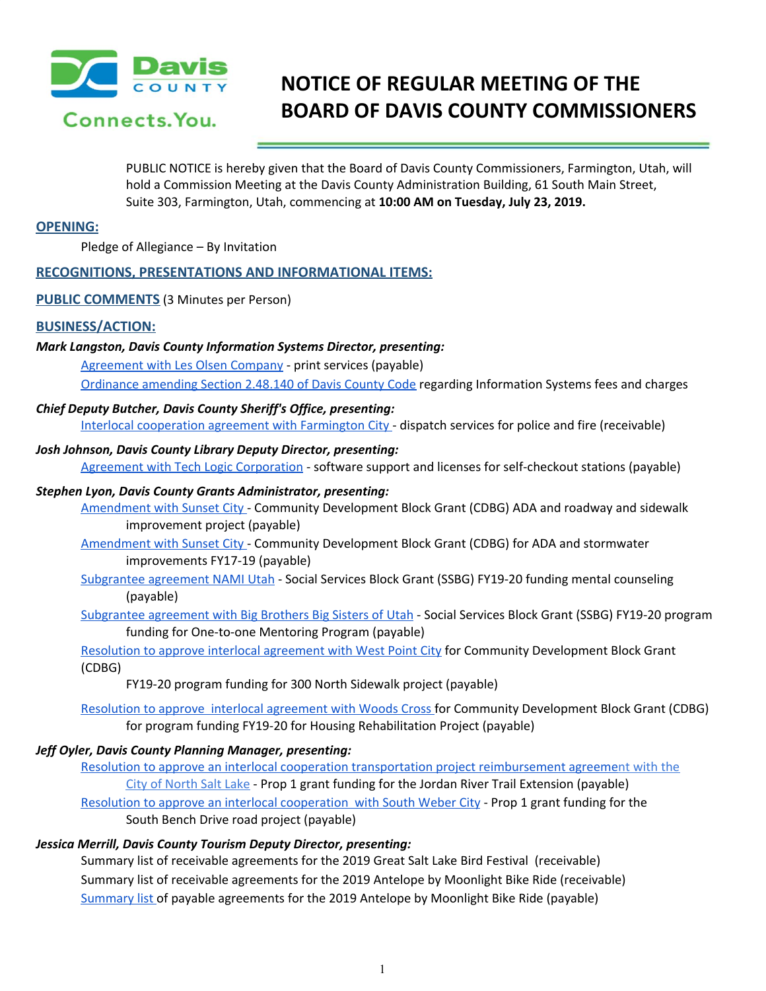

# **NOTICE OF REGULAR MEETING OF THE BOARD OF DAVIS COUNTY COMMISSIONERS**

PUBLIC NOTICE is hereby given that the Board of Davis County Commissioners, Farmington, Utah, will hold a Commission Meeting at the Davis County Administration Building, 61 South Main Street, Suite 303, Farmington, Utah, commencing at **10:00 AM on Tuesday, July 23, 2019.**

# **OPENING:**

Pledge of Allegiance – By Invitation

# **RECOGNITIONS, PRESENTATIONS AND INFORMATIONAL ITEMS:**

**PUBLIC COMMENTS** (3 Minutes per Person)

## **BUSINESS/ACTION:**

#### *Mark Langston, Davis County Information Systems Director, presenting:*

[Agreement](https://drive.google.com/a/co.davis.ut.us/file/d/1234PTlYB0Lf7HgidqFPYE9EpLk_V4T06/view?usp=drivesdk) with Les Olsen Company - print services [\(payable\)](https://drive.google.com/a/co.davis.ut.us/file/d/1234PTlYB0Lf7HgidqFPYE9EpLk_V4T06/view?usp=drivesdk)

[Ordinance](https://drive.google.com/a/co.davis.ut.us/file/d/1zL5wlm58bWjdP22gg0A1zGdgSlZVJoXA/view?usp=drivesdk) amending Section 2.48.140 of Davis County Code regarding [Information](https://drive.google.com/a/co.davis.ut.us/file/d/1zL5wlm58bWjdP22gg0A1zGdgSlZVJoXA/view?usp=drivesdk) Systems fees and charges

# *Chief Deputy Butcher, Davis County Sheriff's Office, presenting:*

Interlocal [cooperation](https://drive.google.com/a/co.davis.ut.us/file/d/1g7gaYJnP78uGiveculavEXhPz7858rQ2/view?usp=drivesdk) agreement with Farmington City - dispatch services for police and fire [\(receivable\)](https://drive.google.com/a/co.davis.ut.us/file/d/1g7gaYJnP78uGiveculavEXhPz7858rQ2/view?usp=drivesdk)

#### *Josh Johnson, Davis County Library Deputy Director, presenting:*

Agreement with Tech Logic [Corporation](https://drive.google.com/a/co.davis.ut.us/file/d/1G3gWrrFWLZGY1pkkrwqLSGowVE4CJkLW/view?usp=drivesdk) - software support and licenses for [self-checkout](https://drive.google.com/a/co.davis.ut.us/file/d/1G3gWrrFWLZGY1pkkrwqLSGowVE4CJkLW/view?usp=drivesdk) stations (payable)

## *Stephen Lyon, Davis County Grants Administrator, presenting:*

[Amendment](https://drive.google.com/a/co.davis.ut.us/file/d/1ta_x4O4DVShNXC9rKzZqsXzATZAYxhNm/view?usp=drivesdk) with Sunset City - Community [Development](https://drive.google.com/a/co.davis.ut.us/file/d/1ta_x4O4DVShNXC9rKzZqsXzATZAYxhNm/view?usp=drivesdk) Block Grant (CDBG) ADA and roadway and sidewalk [improvement](https://drive.google.com/a/co.davis.ut.us/file/d/1ta_x4O4DVShNXC9rKzZqsXzATZAYxhNm/view?usp=drivesdk) project (payable)

[Amendment](https://drive.google.com/a/co.davis.ut.us/file/d/1F0uAyqgNHW1eG4qnCFGCnQK5ne31iwo0/view?usp=drivesdk) with Sunset City - Community [Development](https://drive.google.com/a/co.davis.ut.us/file/d/1F0uAyqgNHW1eG4qnCFGCnQK5ne31iwo0/view?usp=drivesdk) Block Grant (CDBG) for ADA and stormwater [improvements](https://drive.google.com/a/co.davis.ut.us/file/d/1F0uAyqgNHW1eG4qnCFGCnQK5ne31iwo0/view?usp=drivesdk) FY17-19 (payable)

- [Subgrantee](https://drive.google.com/a/co.davis.ut.us/file/d/1go6qHBLsmqV8cvXFIEUit4MmrjTileql/view?usp=drivesdk) agreement NAMI Utah Social [Services](https://drive.google.com/a/co.davis.ut.us/file/d/1go6qHBLsmqV8cvXFIEUit4MmrjTileql/view?usp=drivesdk) Block Grant (SSBG) FY19-20 funding mental counseling (payable)
- [Subgrantee](https://drive.google.com/a/co.davis.ut.us/file/d/19Ee5gNaOVHkqDEHBxWGgtxGWAabYaxkJ/view?usp=drivesdk) agreement with Big Brothers Big Sisters of Utah Social Services Block Grant (SSBG) FY19-20 [program](https://drive.google.com/a/co.davis.ut.us/file/d/19Ee5gNaOVHkqDEHBxWGgtxGWAabYaxkJ/view?usp=drivesdk) funding for [One-to-one](https://drive.google.com/a/co.davis.ut.us/file/d/19Ee5gNaOVHkqDEHBxWGgtxGWAabYaxkJ/view?usp=drivesdk) Mentoring Program (payable)

Resolution to approve interlocal [agreement](https://drive.google.com/a/co.davis.ut.us/file/d/1BM8YdAT8DZubgT-pQnBiKslXRSi1yDzM/view?usp=drivesdk) with West Point City for Community [Development](https://drive.google.com/a/co.davis.ut.us/file/d/1BM8YdAT8DZubgT-pQnBiKslXRSi1yDzM/view?usp=drivesdk) Block Grant [\(CDBG\)](https://drive.google.com/a/co.davis.ut.us/file/d/1BM8YdAT8DZubgT-pQnBiKslXRSi1yDzM/view?usp=drivesdk)

FY19-20 program funding for 300 North [Sidewalk](https://drive.google.com/a/co.davis.ut.us/file/d/1BM8YdAT8DZubgT-pQnBiKslXRSi1yDzM/view?usp=drivesdk) project (payable)

Resolution to approve interlocal [agreement](https://drive.google.com/a/co.davis.ut.us/file/d/1OsYELXexz1koVn2OYmRZf5MO7AbQ26R6/view?usp=drivesdk) with Woods Cross for Community [Development](https://drive.google.com/a/co.davis.ut.us/file/d/1OsYELXexz1koVn2OYmRZf5MO7AbQ26R6/view?usp=drivesdk) Block Grant (CDBG) for program funding FY19-20 for Housing [Rehabilitation](https://drive.google.com/a/co.davis.ut.us/file/d/1OsYELXexz1koVn2OYmRZf5MO7AbQ26R6/view?usp=drivesdk) Project (payable)

# *Jeff Oyler, Davis County Planning Manager, presenting:*

Resolution to approve an interlocal cooperation transportation project [reimbursement](https://drive.google.com/a/co.davis.ut.us/file/d/10062KDMjF2fD64YoQCAwCMrk2l9b72T9/view?usp=drivesdk) agreement [with](https://drive.google.com/a/co.davis.ut.us/file/d/10062KDMjF2fD64YoQCAwCMrk2l9b72T9/view?usp=drivesdk) the City of [North](https://drive.google.com/a/co.davis.ut.us/file/d/10062KDMjF2fD64YoQCAwCMrk2l9b72T9/view?usp=drivesdk) Salt Lake - Prop 1 grant funding for the Jordan River Trail [Extension](https://drive.google.com/a/co.davis.ut.us/file/d/10062KDMjF2fD64YoQCAwCMrk2l9b72T9/view?usp=drivesdk) (payable) Resolution to approve an interlocal [cooperation](https://drive.google.com/a/co.davis.ut.us/file/d/1BWPfhT4xWwFowbn4mzmRStF9rrCqmePr/view?usp=drivesdk) with South Weber City - Prop 1 grant [funding](https://drive.google.com/a/co.davis.ut.us/file/d/1BWPfhT4xWwFowbn4mzmRStF9rrCqmePr/view?usp=drivesdk) for the South Bench Drive road project [\(payable](https://drive.google.com/a/co.davis.ut.us/file/d/1BWPfhT4xWwFowbn4mzmRStF9rrCqmePr/view?usp=drivesdk))

#### *Jessica Merrill, Davis County Tourism Deputy Director, presenting:*

Summary list of receivable [agreements](https://drive.google.com/a/co.davis.ut.us/file/d/1o6tTYPvNSe2veJcqnPqBzYgSRZ8Y4zpA/view?usp=drivesdk) for the 2019 Great Salt Lake Bird Festiva[l](https://drive.google.com/a/co.davis.ut.us/file/d/1o6tTYPvNSe2veJcqnPqBzYgSRZ8Y4zpA/view?usp=drivesdk) (receivable) Summary list of receivable [agreements](https://drive.google.com/a/co.davis.ut.us/file/d/1ijtICv91XAjuIDC3T_VQmgOWQGwvWlbZ/view?usp=drivesdk) for the 2019 Antelope by Moonlight Bike Ride (receivable) [Summary](https://drive.google.com/a/co.davis.ut.us/file/d/1vZRkV6KCNQaF7XnAFMyNGtojNG9KG-Z-/view?usp=drivesdk) list of payable [agreements](https://drive.google.com/a/co.davis.ut.us/file/d/1vZRkV6KCNQaF7XnAFMyNGtojNG9KG-Z-/view?usp=drivesdk) for the 2019 Antelope by Moonlight Bike Ride (payable)